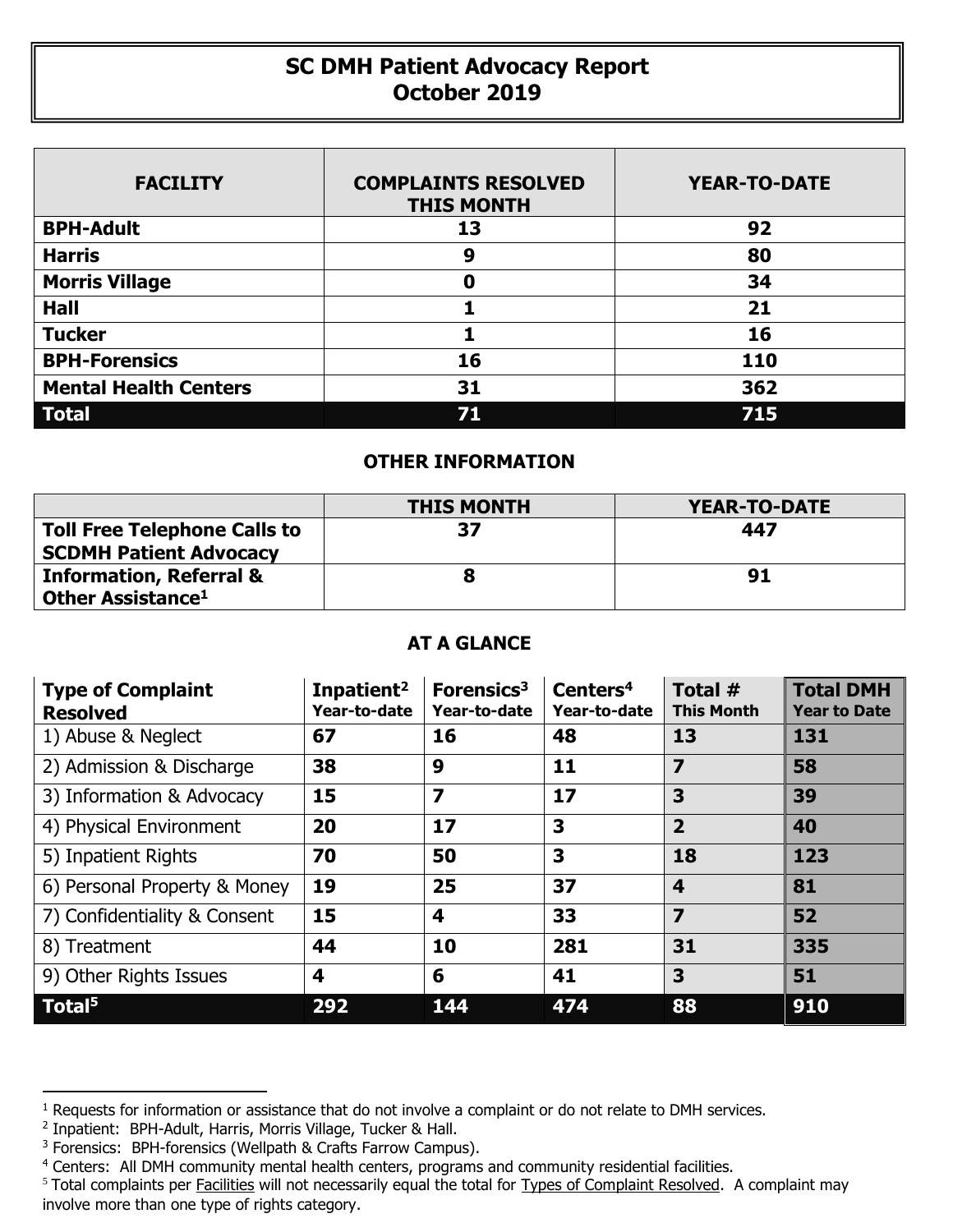## **SC DMH Patient Advocacy Report October 2019**

| <b>FACILITY</b>              | <b>COMPLAINTS RESOLVED</b><br><b>THIS MONTH</b> | <b>YEAR-TO-DATE</b> |
|------------------------------|-------------------------------------------------|---------------------|
| <b>BPH-Adult</b>             | 13                                              | 92                  |
| <b>Harris</b>                | 9                                               | 80                  |
| <b>Morris Village</b>        | 0                                               | 34                  |
| <b>Hall</b>                  |                                                 | 21                  |
| <b>Tucker</b>                |                                                 | 16                  |
| <b>BPH-Forensics</b>         | 16                                              | 110                 |
| <b>Mental Health Centers</b> | 31                                              | 362                 |
| <b>Total</b>                 | 71                                              | 715                 |

## **OTHER INFORMATION**

|                                                                      | <b>THIS MONTH</b> | YEAR-TO-DATE |  |  |
|----------------------------------------------------------------------|-------------------|--------------|--|--|
| <b>Toll Free Telephone Calls to</b><br><b>SCDMH Patient Advocacy</b> | 37                | 447          |  |  |
| <b>Information, Referral &amp;</b><br>Other Assistance <sup>1</sup>  |                   | 91           |  |  |

## **AT A GLANCE**

| <b>Type of Complaint</b><br><b>Resolved</b> | Inpatient <sup>2</sup><br>Year-to-date | Forensics <sup>3</sup><br>Year-to-date | Centers <sup>4</sup><br>Year-to-date | Total #<br><b>This Month</b> | <b>Total DMH</b><br><b>Year to Date</b> |
|---------------------------------------------|----------------------------------------|----------------------------------------|--------------------------------------|------------------------------|-----------------------------------------|
| 1) Abuse & Neglect                          | 67                                     | 16                                     | 48                                   | 13                           | 131                                     |
| 2) Admission & Discharge                    | 38                                     | 9                                      | 11                                   | 7                            | 58                                      |
| 3) Information & Advocacy                   | 15                                     | $\overline{\mathbf{z}}$                | 17                                   | 3                            | 39                                      |
| 4) Physical Environment                     | 20                                     | 17                                     | 3                                    | $\overline{2}$               | 40                                      |
| 5) Inpatient Rights                         | 70                                     | 50                                     | 3                                    | 18                           | 123                                     |
| 6) Personal Property & Money                | 19                                     | 25                                     | 37                                   | $\overline{\mathbf{4}}$      | 81                                      |
| 7) Confidentiality & Consent                | 15                                     | 4                                      | 33                                   | $\overline{z}$               | 52                                      |
| 8) Treatment                                | 44                                     | 10                                     | 281                                  | 31                           | 335                                     |
| 9) Other Rights Issues                      | 4                                      | 6                                      | 41                                   | 3                            | 51                                      |
| Total <sup>5</sup>                          | 292                                    | 144                                    | 474                                  | 88                           | 910                                     |

 $\overline{a}$ 

<sup>&</sup>lt;sup>1</sup> Requests for information or assistance that do not involve a complaint or do not relate to DMH services.

<sup>2</sup> Inpatient: BPH-Adult, Harris, Morris Village, Tucker & Hall.

<sup>&</sup>lt;sup>3</sup> Forensics: BPH-forensics (Wellpath & Crafts Farrow Campus).

<sup>&</sup>lt;sup>4</sup> Centers: All DMH community mental health centers, programs and community residential facilities.

<sup>&</sup>lt;sup>5</sup> Total complaints per Facilities will not necessarily equal the total for Types of Complaint Resolved. A complaint may involve more than one type of rights category.